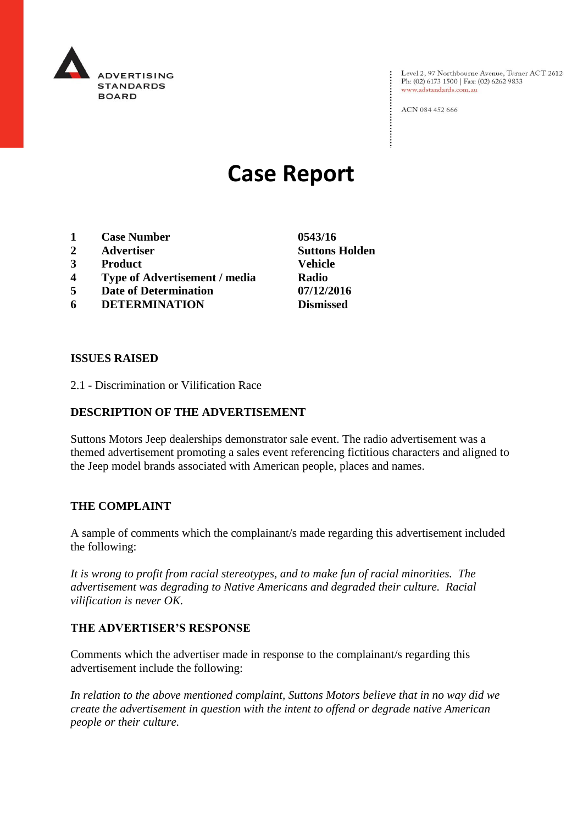

Level 2, 97 Northbourne Avenue, Turner ACT 2612<br>Ph: (02) 6173 1500 | Fax: (02) 6262 9833 www.adstandards.com.au

ACN 084 452 666

# **Case Report**

- **1 Case Number 0543/16**
- **2 Advertiser Suttons Holden**
- **3 Product Vehicle**
- **4 Type of Advertisement / media Radio**
- **5 Date of Determination 07/12/2016**
- **6 DETERMINATION Dismissed**

**ISSUES RAISED**

2.1 - Discrimination or Vilification Race

## **DESCRIPTION OF THE ADVERTISEMENT**

Suttons Motors Jeep dealerships demonstrator sale event. The radio advertisement was a themed advertisement promoting a sales event referencing fictitious characters and aligned to the Jeep model brands associated with American people, places and names.

### **THE COMPLAINT**

A sample of comments which the complainant/s made regarding this advertisement included the following:

*It is wrong to profit from racial stereotypes, and to make fun of racial minorities. The advertisement was degrading to Native Americans and degraded their culture. Racial vilification is never OK.*

### **THE ADVERTISER'S RESPONSE**

Comments which the advertiser made in response to the complainant/s regarding this advertisement include the following:

*In relation to the above mentioned complaint, Suttons Motors believe that in no way did we create the advertisement in question with the intent to offend or degrade native American people or their culture.*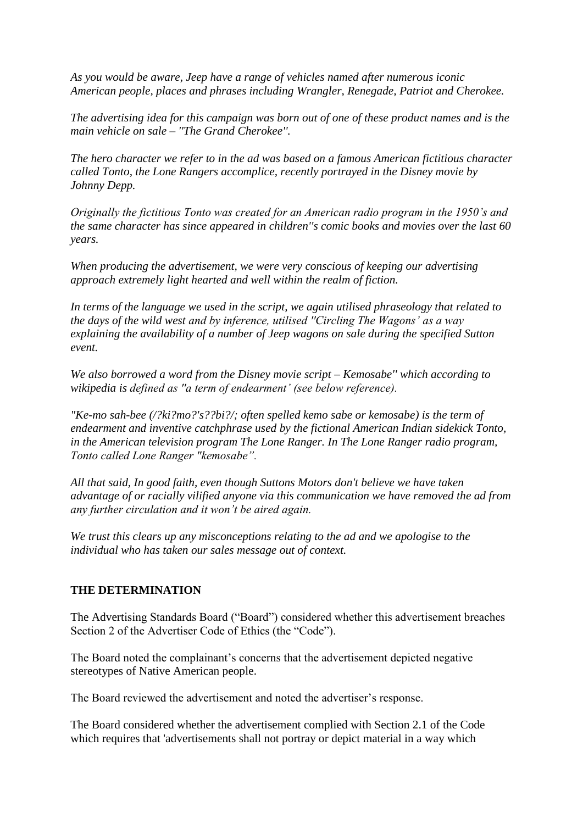*As you would be aware, Jeep have a range of vehicles named after numerous iconic American people, places and phrases including Wrangler, Renegade, Patriot and Cherokee.*

*The advertising idea for this campaign was born out of one of these product names and is the main vehicle on sale – ''The Grand Cherokee''.*

*The hero character we refer to in the ad was based on a famous American fictitious character called Tonto, the Lone Rangers accomplice, recently portrayed in the Disney movie by Johnny Depp.*

*Originally the fictitious Tonto was created for an American radio program in the 1950's and the same character has since appeared in children''s comic books and movies over the last 60 years.*

*When producing the advertisement, we were very conscious of keeping our advertising approach extremely light hearted and well within the realm of fiction.*

*In terms of the language we used in the script, we again utilised phraseology that related to the days of the wild west and by inference, utilised ''Circling The Wagons' as a way explaining the availability of a number of Jeep wagons on sale during the specified Sutton event.*

*We also borrowed a word from the Disney movie script – Kemosabe'' which according to wikipedia is defined as ''a term of endearment' (see below reference).*

*"Ke-mo sah-bee (/?ki?mo?'s??bi?/; often spelled kemo sabe or kemosabe) is the term of endearment and inventive catchphrase used by the fictional American Indian sidekick Tonto, in the American television program The Lone Ranger. In The Lone Ranger radio program, Tonto called Lone Ranger "kemosabe".*

*All that said, In good faith, even though Suttons Motors don't believe we have taken advantage of or racially vilified anyone via this communication we have removed the ad from any further circulation and it won't be aired again.*

*We trust this clears up any misconceptions relating to the ad and we apologise to the individual who has taken our sales message out of context.*

### **THE DETERMINATION**

The Advertising Standards Board ("Board") considered whether this advertisement breaches Section 2 of the Advertiser Code of Ethics (the "Code").

The Board noted the complainant's concerns that the advertisement depicted negative stereotypes of Native American people.

The Board reviewed the advertisement and noted the advertiser's response.

The Board considered whether the advertisement complied with Section 2.1 of the Code which requires that 'advertisements shall not portray or depict material in a way which